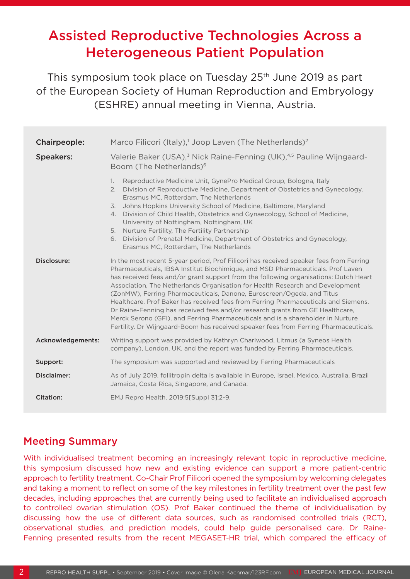# Assisted Reproductive Technologies Across a Heterogeneous Patient Population

This symposium took place on Tuesday 25<sup>th</sup> June 2019 as part of the European Society of Human Reproduction and Embryology (ESHRE) annual meeting in Vienna, Austria.

| Chairpeople:       | Marco Filicori (Italy), <sup>1</sup> Joop Laven (The Netherlands) <sup>2</sup>                                                                                                                                                                                                                                                                                                                                                                                                                                                                                                                                                                                                                                                                                                |
|--------------------|-------------------------------------------------------------------------------------------------------------------------------------------------------------------------------------------------------------------------------------------------------------------------------------------------------------------------------------------------------------------------------------------------------------------------------------------------------------------------------------------------------------------------------------------------------------------------------------------------------------------------------------------------------------------------------------------------------------------------------------------------------------------------------|
| <b>Speakers:</b>   | Valerie Baker (USA), <sup>3</sup> Nick Raine-Fenning (UK), <sup>4,5</sup> Pauline Wijngaard-<br>Boom (The Netherlands) <sup>6</sup>                                                                                                                                                                                                                                                                                                                                                                                                                                                                                                                                                                                                                                           |
|                    | Reproductive Medicine Unit, GynePro Medical Group, Bologna, Italy<br>1.<br>2.<br>Division of Reproductive Medicine, Department of Obstetrics and Gynecology,<br>Erasmus MC, Rotterdam, The Netherlands<br>Johns Hopkins University School of Medicine, Baltimore, Maryland<br>$\overline{3}$ .<br>Division of Child Health, Obstetrics and Gynaecology, School of Medicine,<br>4.<br>University of Nottingham, Nottingham, UK<br>Nurture Fertility, The Fertility Partnership<br>5.<br>Division of Prenatal Medicine, Department of Obstetrics and Gynecology,<br>6.<br>Erasmus MC, Rotterdam, The Netherlands                                                                                                                                                                |
| Disclosure:        | In the most recent 5-year period, Prof Filicori has received speaker fees from Ferring<br>Pharmaceuticals, IBSA Institut Biochimique, and MSD Pharmaceuticals. Prof Laven<br>has received fees and/or grant support from the following organisations: Dutch Heart<br>Association, The Netherlands Organisation for Health Research and Development<br>(ZonMW), Ferring Pharmaceuticals, Danone, Euroscreen/Ogeda, and Titus<br>Healthcare. Prof Baker has received fees from Ferring Pharmaceuticals and Siemens.<br>Dr Raine-Fenning has received fees and/or research grants from GE Healthcare,<br>Merck Serono (GFI), and Ferring Pharmaceuticals and is a shareholder in Nurture<br>Fertility. Dr Wijngaard-Boom has received speaker fees from Ferring Pharmaceuticals. |
| Acknowledgements:  | Writing support was provided by Kathryn Charlwood, Litmus (a Syneos Health<br>company), London, UK, and the report was funded by Ferring Pharmaceuticals.                                                                                                                                                                                                                                                                                                                                                                                                                                                                                                                                                                                                                     |
| Support:           | The symposium was supported and reviewed by Ferring Pharmaceuticals                                                                                                                                                                                                                                                                                                                                                                                                                                                                                                                                                                                                                                                                                                           |
| <b>Disclaimer:</b> | As of July 2019, follitropin delta is available in Europe, Israel, Mexico, Australia, Brazil<br>Jamaica, Costa Rica, Singapore, and Canada.                                                                                                                                                                                                                                                                                                                                                                                                                                                                                                                                                                                                                                   |
| Citation:          | EMJ Repro Health. 2019;5[Suppl 3]:2-9.                                                                                                                                                                                                                                                                                                                                                                                                                                                                                                                                                                                                                                                                                                                                        |

### Meeting Summary

With individualised treatment becoming an increasingly relevant topic in reproductive medicine, this symposium discussed how new and existing evidence can support a more patient-centric approach to fertility treatment. Co-Chair Prof Filicori opened the symposium by welcoming delegates and taking a moment to reflect on some of the key milestones in fertility treatment over the past few decades, including approaches that are currently being used to facilitate an individualised approach to controlled ovarian stimulation (OS). Prof Baker continued the theme of individualisation by discussing how the use of different data sources, such as randomised controlled trials (RCT), observational studies, and prediction models, could help guide personalised care. Dr Raine-Fenning presented results from the recent MEGASET-HR trial, which compared the efficacy of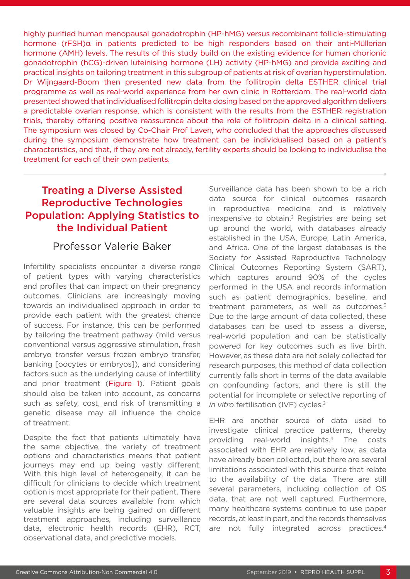highly purified human menopausal gonadotrophin (HP-hMG) versus recombinant follicle-stimulating hormone (rFSH)α in patients predicted to be high responders based on their anti-Müllerian hormone (AMH) levels. The results of this study build on the existing evidence for human chorionic gonadotrophin (hCG)-driven luteinising hormone (LH) activity (HP-hMG) and provide exciting and practical insights on tailoring treatment in this subgroup of patients at risk of ovarian hyperstimulation. Dr Wijngaard-Boom then presented new data from the follitropin delta ESTHER clinical trial programme as well as real-world experience from her own clinic in Rotterdam. The real-world data presented showed that individualised follitropin delta dosing based on the approved algorithm delivers a predictable ovarian response, which is consistent with the results from the ESTHER registration trials, thereby offering positive reassurance about the role of follitropin delta in a clinical setting. The symposium was closed by Co-Chair Prof Laven, who concluded that the approaches discussed during the symposium demonstrate how treatment can be individualised based on a patient's characteristics, and that, if they are not already, fertility experts should be looking to individualise the treatment for each of their own patients.

# Treating a Diverse Assisted Reproductive Technologies Population: Applying Statistics to the Individual Patient

### Professor Valerie Baker

Infertility specialists encounter a diverse range of patient types with varying characteristics and profiles that can impact on their pregnancy outcomes. Clinicians are increasingly moving towards an individualised approach in order to provide each patient with the greatest chance of success. For instance, this can be performed by tailoring the treatment pathway (mild versus conventional versus aggressive stimulation, fresh embryo transfer versus frozen embryo transfer, banking [oocytes or embryos]), and considering factors such as the underlying cause of infertility and prior treatment (Figure 1).<sup>1</sup> Patient goals should also be taken into account, as concerns such as safety, cost, and risk of transmitting a genetic disease may all influence the choice of treatment.

Despite the fact that patients ultimately have the same objective, the variety of treatment options and characteristics means that patient journeys may end up being vastly different. With this high level of heterogeneity, it can be difficult for clinicians to decide which treatment option is most appropriate for their patient. There are several data sources available from which valuable insights are being gained on different treatment approaches, including surveillance data, electronic health records (EHR), RCT, observational data, and predictive models.

Surveillance data has been shown to be a rich data source for clinical outcomes research in reproductive medicine and is relatively inexpensive to obtain.<sup>2</sup> Registries are being set up around the world, with databases already established in the USA, Europe, Latin America, and Africa. One of the largest databases is the Society for Assisted Reproductive Technology Clinical Outcomes Reporting System (SART), which captures around 90% of the cycles performed in the USA and records information such as patient demographics, baseline, and treatment parameters, as well as outcomes.<sup>3</sup> Due to the large amount of data collected, these databases can be used to assess a diverse, real-world population and can be statistically powered for key outcomes such as live birth. However, as these data are not solely collected for research purposes, this method of data collection currently falls short in terms of the data available on confounding factors, and there is still the potential for incomplete or selective reporting of *in vitro* fertilisation (IVF) cycles.<sup>2</sup>

EHR are another source of data used to investigate clinical practice patterns, thereby providing real-world insights.4 The costs associated with EHR are relatively low, as data have already been collected, but there are several limitations associated with this source that relate to the availability of the data. There are still several parameters, including collection of OS data, that are not well captured. Furthermore, many healthcare systems continue to use paper records, at least in part, and the records themselves are not fully integrated across practices.<sup>4</sup>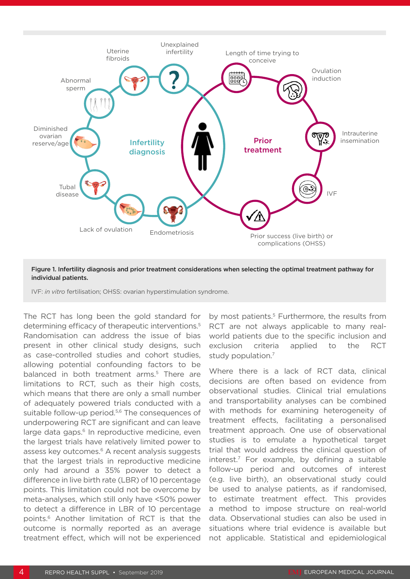

#### Figure 1. Infertility diagnosis and prior treatment considerations when selecting the optimal treatment pathway for individual patients.

IVF: *in vitro* fertilisation; OHSS: ovarian hyperstimulation syndrome.

The RCT has long been the gold standard for determining efficacy of therapeutic interventions.5 Randomisation can address the issue of bias present in other clinical study designs, such as case-controlled studies and cohort studies, allowing potential confounding factors to be balanced in both treatment arms.<sup>5</sup> There are limitations to RCT, such as their high costs, which means that there are only a small number of adequately powered trials conducted with a suitable follow-up period.<sup>5,6</sup> The consequences of underpowering RCT are significant and can leave large data gaps.<sup>6</sup> In reproductive medicine, even the largest trials have relatively limited power to assess key outcomes.<sup>6</sup> A recent analysis suggests that the largest trials in reproductive medicine only had around a 35% power to detect a difference in live birth rate (LBR) of 10 percentage points. This limitation could not be overcome by meta-analyses, which still only have <50% power to detect a difference in LBR of 10 percentage points.6 Another limitation of RCT is that the outcome is normally reported as an average treatment effect, which will not be experienced

by most patients.<sup>5</sup> Furthermore, the results from RCT are not always applicable to many realworld patients due to the specific inclusion and exclusion criteria applied to the RCT study population.<sup>7</sup>

Where there is a lack of RCT data, clinical decisions are often based on evidence from observational studies. Clinical trial emulations and transportability analyses can be combined with methods for examining heterogeneity of treatment effects, facilitating a personalised treatment approach. One use of observational studies is to emulate a hypothetical target trial that would address the clinical question of interest.7 For example, by defining a suitable follow-up period and outcomes of interest (e.g. live birth), an observational study could be used to analyse patients, as if randomised, to estimate treatment effect. This provides a method to impose structure on real-world data. Observational studies can also be used in situations where trial evidence is available but not applicable. Statistical and epidemiological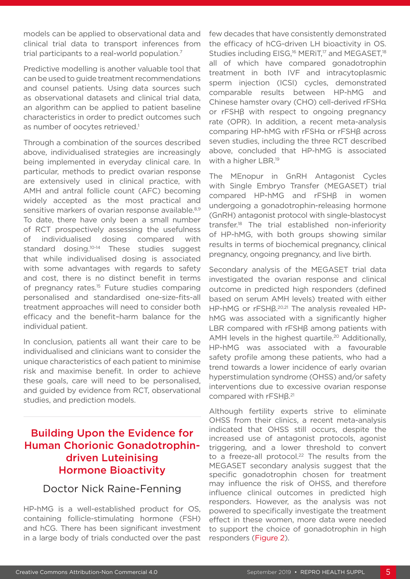models can be applied to observational data and clinical trial data to transport inferences from trial participants to a real-world population.7

Predictive modelling is another valuable tool that can be used to guide treatment recommendations and counsel patients. Using data sources such as observational datasets and clinical trial data, an algorithm can be applied to patient baseline characteristics in order to predict outcomes such as number of oocytes retrieved.<sup>1</sup>

Through a combination of the sources described above, individualised strategies are increasingly being implemented in everyday clinical care. In particular, methods to predict ovarian response are extensively used in clinical practice, with AMH and antral follicle count (AFC) becoming widely accepted as the most practical and sensitive markers of ovarian response available.<sup>8,9</sup> To date, there have only been a small number of RCT prospectively assessing the usefulness of individualised dosing compared with standard dosing.<sup>10-14</sup> These studies suggest that while individualised dosing is associated with some advantages with regards to safety and cost, there is no distinct benefit in terms of pregnancy rates.<sup>15</sup> Future studies comparing personalised and standardised one-size-fits-all treatment approaches will need to consider both efficacy and the benefit–harm balance for the individual patient.

In conclusion, patients all want their care to be individualised and clinicians want to consider the unique characteristics of each patient to minimise risk and maximise benefit. In order to achieve these goals, care will need to be personalised, and guided by evidence from RCT, observational studies, and prediction models.

# Building Upon the Evidence for Human Chorionic Gonadotrophindriven Luteinising Hormone Bioactivity

### Doctor Nick Raine-Fenning

HP-hMG is a well-established product for OS, containing follicle-stimulating hormone (FSH) and hCG. There has been significant investment in a large body of trials conducted over the past

few decades that have consistently demonstrated the efficacy of hCG-driven LH bioactivity in OS. Studies including EISG,<sup>16</sup> MERIT,<sup>17</sup> and MEGASET,<sup>18</sup> all of which have compared gonadotrophin treatment in both IVF and intracytoplasmic sperm injection (ICSI) cycles, demonstrated comparable results between HP-hMG and Chinese hamster ovary (CHO) cell-derived rFSHα or rFSHβ with respect to ongoing pregnancy rate (OPR). In addition, a recent meta-analysis comparing HP-hMG with rFSHα or rFSHβ across seven studies, including the three RCT described above, concluded that HP-hMG is associated with a higher LBR.<sup>19</sup>

The MEnopur in GnRH Antagonist Cycles with Single Embryo Transfer (MEGASET) trial compared HP-hMG and rFSHβ in women undergoing a gonadotrophin-releasing hormone (GnRH) antagonist protocol with single-blastocyst transfer.18 The trial established non-inferiority of HP-hMG, with both groups showing similar results in terms of biochemical pregnancy, clinical pregnancy, ongoing pregnancy, and live birth.

Secondary analysis of the MEGASET trial data investigated the ovarian response and clinical outcome in predicted high responders (defined based on serum AMH levels) treated with either HP-hMG or  $rFSH\beta^{20,21}$  The analysis revealed HPhMG was associated with a significantly higher LBR compared with rFSHβ among patients with AMH levels in the highest quartile.<sup>20</sup> Additionally, HP-hMG was associated with a favourable safety profile among these patients, who had a trend towards a lower incidence of early ovarian hyperstimulation syndrome (OHSS) and/or safety interventions due to excessive ovarian response compared with rFSHβ.<sup>21</sup>

Although fertility experts strive to eliminate OHSS from their clinics, a recent meta-analysis indicated that OHSS still occurs, despite the increased use of antagonist protocols, agonist triggering, and a lower threshold to convert to a freeze-all protocol.<sup>22</sup> The results from the MEGASET secondary analysis suggest that the specific gonadotrophin chosen for treatment may influence the risk of OHSS, and therefore influence clinical outcomes in predicted high responders. However, as the analysis was not powered to specifically investigate the treatment effect in these women, more data were needed to support the choice of gonadotrophin in high responders (Figure 2).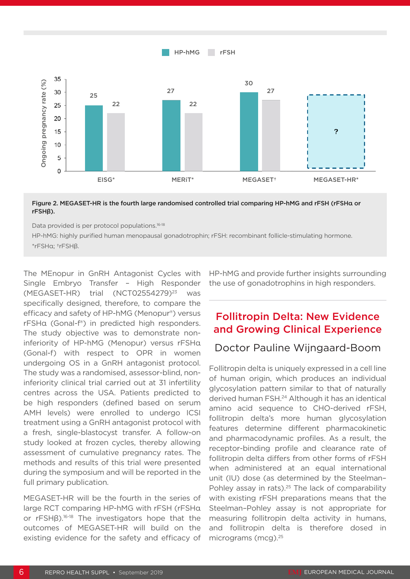

#### Figure 2. MEGASET-HR is the fourth large randomised controlled trial comparing HP-hMG and rFSH (rFSHα or rFSHβ).

Data provided is per protocol populations.<sup>16-18</sup>

HP-hMG: highly purified human menopausal gonadotrophin; rFSH: recombinant follicle-stimulating hormone. \*rFSHα; †rFSHβ.

The MEnopur in GnRH Antagonist Cycles with Single Embryo Transfer – High Responder  $(MEGASET-HR)$  trial  $(NCT02554279)^{23}$  was specifically designed, therefore, to compare the efficacy and safety of HP-hMG (Menopur®) versus rFSHα (Gonal-f®) in predicted high responders. The study objective was to demonstrate noninferiority of HP-hMG (Menopur) versus rFSHα (Gonal-f) with respect to OPR in women undergoing OS in a GnRH antagonist protocol. The study was a randomised, assessor-blind, noninferiority clinical trial carried out at 31 infertility centres across the USA. Patients predicted to be high responders (defined based on serum AMH levels) were enrolled to undergo ICSI treatment using a GnRH antagonist protocol with a fresh, single-blastocyst transfer. A follow-on study looked at frozen cycles, thereby allowing assessment of cumulative pregnancy rates. The methods and results of this trial were presented during the symposium and will be reported in the full primary publication.

MEGASET-HR will be the fourth in the series of large RCT comparing HP-hMG with rFSH (rFSHα or rFSHβ).16-18 The investigators hope that the outcomes of MEGASET-HR will build on the existing evidence for the safety and efficacy of HP-hMG and provide further insights surrounding the use of gonadotrophins in high responders.

## Follitropin Delta: New Evidence and Growing Clinical Experience

#### Doctor Pauline Wijngaard-Boom

Follitropin delta is uniquely expressed in a cell line of human origin, which produces an individual glycosylation pattern similar to that of naturally derived human FSH.24 Although it has an identical amino acid sequence to CHO-derived rFSH, follitropin delta's more human glycosylation features determine different pharmacokinetic and pharmacodynamic profiles. As a result, the receptor-binding profile and clearance rate of follitropin delta differs from other forms of rFSH when administered at an equal international unit (IU) dose (as determined by the Steelman– Pohley assay in rats).<sup>25</sup> The lack of comparability with existing rFSH preparations means that the Steelman–Pohley assay is not appropriate for measuring follitropin delta activity in humans, and follitropin delta is therefore dosed in micrograms (mcg).25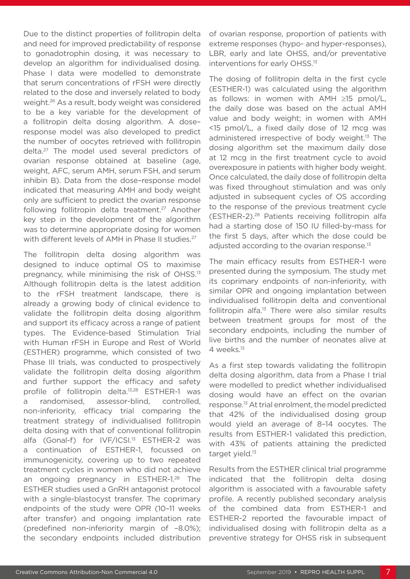Due to the distinct properties of follitropin delta and need for improved predictability of response to gonadotrophin dosing, it was necessary to develop an algorithm for individualised dosing. Phase I data were modelled to demonstrate that serum concentrations of rFSH were directly related to the dose and inversely related to body weight.26 As a result, body weight was considered to be a key variable for the development of a follitropin delta dosing algorithm. A dose– response model was also developed to predict the number of oocytes retrieved with follitropin delta.27 The model used several predictors of ovarian response obtained at baseline (age, weight, AFC, serum AMH, serum FSH, and serum inhibin B). Data from the dose–response model indicated that measuring AMH and body weight only are sufficient to predict the ovarian response following follitropin delta treatment.<sup>27</sup> Another key step in the development of the algorithm was to determine appropriate dosing for women with different levels of AMH in Phase II studies.<sup>27</sup>

The follitropin delta dosing algorithm was designed to induce optimal OS to maximise pregnancy, while minimising the risk of OHSS.<sup>13</sup> Although follitropin delta is the latest addition to the rFSH treatment landscape, there is already a growing body of clinical evidence to validate the follitropin delta dosing algorithm and support its efficacy across a range of patient types. The Evidence-based Stimulation Trial with Human rFSH in Europe and Rest of World (ESTHER) programme, which consisted of two Phase III trials, was conducted to prospectively validate the follitropin delta dosing algorithm and further support the efficacy and safety profile of follitropin delta.13,28 ESTHER-1 was a randomised, assessor-blind, controlled, non-inferiority, efficacy trial comparing the treatment strategy of individualised follitropin delta dosing with that of conventional follitropin alfa (Gonal-f) for IVF/ICSI.<sup>13</sup> ESTHER-2 was a continuation of ESTHER-1, focussed on immunogenicity, covering up to two repeated treatment cycles in women who did not achieve an ongoing pregnancy in ESTHER-1.<sup>28</sup> The ESTHER studies used a GnRH antagonist protocol with a single-blastocyst transfer. The coprimary endpoints of the study were OPR (10–11 weeks after transfer) and ongoing implantation rate (predefined non-inferiority margin of –8.0%); the secondary endpoints included distribution

of ovarian response, proportion of patients with extreme responses (hypo- and hyper-responses), LBR, early and late OHSS, and/or preventative interventions for early OHSS.13

The dosing of follitropin delta in the first cycle (ESTHER-1) was calculated using the algorithm as follows: in women with AMH ≥15 pmol/L, the daily dose was based on the actual AMH value and body weight; in women with AMH <15 pmol/L, a fixed daily dose of 12 mcg was administered irrespective of body weight.13 The dosing algorithm set the maximum daily dose at 12 mcg in the first treatment cycle to avoid overexposure in patients with higher body weight. Once calculated, the daily dose of follitropin delta was fixed throughout stimulation and was only adjusted in subsequent cycles of OS according to the response of the previous treatment cycle (ESTHER-2).28 Patients receiving follitropin alfa had a starting dose of 150 IU filled-by-mass for the first 5 days, after which the dose could be adjusted according to the ovarian response.<sup>13</sup>

The main efficacy results from ESTHER-1 were presented during the symposium. The study met its coprimary endpoints of non-inferiority, with similar OPR and ongoing implantation between individualised follitropin delta and conventional follitropin alfa.<sup>13</sup> There were also similar results between treatment groups for most of the secondary endpoints, including the number of live births and the number of neonates alive at 4 weeks.<sup>13</sup>

As a first step towards validating the follitropin delta dosing algorithm, data from a Phase I trial were modelled to predict whether individualised dosing would have an effect on the ovarian response.13 At trial enrolment, the model predicted that 42% of the individualised dosing group would yield an average of 8–14 oocytes. The results from ESTHER-1 validated this prediction, with 43% of patients attaining the predicted target yield.<sup>13</sup>

Results from the ESTHER clinical trial programme indicated that the follitropin delta dosing algorithm is associated with a favourable safety profile. A recently published secondary analysis of the combined data from ESTHER-1 and ESTHER-2 reported the favourable impact of individualised dosing with follitropin delta as a preventive strategy for OHSS risk in subsequent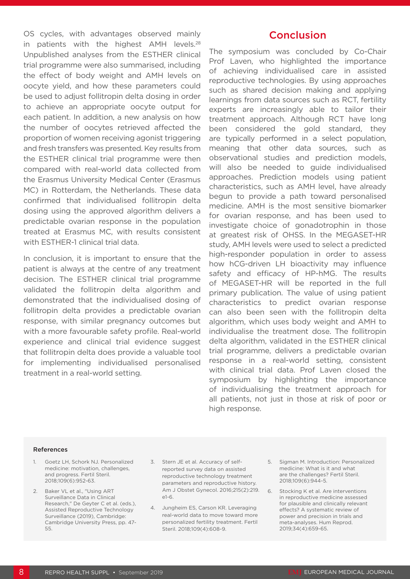OS cycles, with advantages observed mainly in patients with the highest AMH levels.<sup>28</sup> Unpublished analyses from the ESTHER clinical trial programme were also summarised, including the effect of body weight and AMH levels on oocyte yield, and how these parameters could be used to adjust follitropin delta dosing in order to achieve an appropriate oocyte output for each patient. In addition, a new analysis on how the number of oocytes retrieved affected the proportion of women receiving agonist triggering and fresh transfers was presented. Key results from the ESTHER clinical trial programme were then compared with real-world data collected from the Erasmus University Medical Center (Erasmus MC) in Rotterdam, the Netherlands. These data confirmed that individualised follitropin delta dosing using the approved algorithm delivers a predictable ovarian response in the population treated at Erasmus MC, with results consistent with ESTHER-1 clinical trial data.

In conclusion, it is important to ensure that the patient is always at the centre of any treatment decision. The ESTHER clinical trial programme validated the follitropin delta algorithm and demonstrated that the individualised dosing of follitropin delta provides a predictable ovarian response, with similar pregnancy outcomes but with a more favourable safety profile. Real-world experience and clinical trial evidence suggest that follitropin delta does provide a valuable tool for implementing individualised personalised treatment in a real-world setting.

#### **Conclusion**

The symposium was concluded by Co-Chair Prof Laven, who highlighted the importance of achieving individualised care in assisted reproductive technologies. By using approaches such as shared decision making and applying learnings from data sources such as RCT, fertility experts are increasingly able to tailor their treatment approach. Although RCT have long been considered the gold standard, they are typically performed in a select population, meaning that other data sources, such as observational studies and prediction models, will also be needed to guide individualised approaches. Prediction models using patient characteristics, such as AMH level, have already begun to provide a path toward personalised medicine. AMH is the most sensitive biomarker for ovarian response, and has been used to investigate choice of gonadotrophin in those at greatest risk of OHSS. In the MEGASET-HR study, AMH levels were used to select a predicted high-responder population in order to assess how hCG-driven LH bioactivity may influence safety and efficacy of HP-hMG. The results of MEGASET-HR will be reported in the full primary publication. The value of using patient characteristics to predict ovarian response can also been seen with the follitropin delta algorithm, which uses body weight and AMH to individualise the treatment dose. The follitropin delta algorithm, validated in the ESTHER clinical trial programme, delivers a predictable ovarian response in a real-world setting, consistent with clinical trial data. Prof Laven closed the symposium by highlighting the importance of individualising the treatment approach for all patients, not just in those at risk of poor or high response.

#### References

- 1. Goetz LH, Schork NJ. Personalized medicine: motivation, challenges, and progress. Fertil Steril. 2018;109(6):952-63.
- 2. Baker VL et al., "Using ART Surveillance Data in Clinical Research," De Geyter C et al. (eds.), Assisted Reproductive Technology Surveillance (2019), Cambridge: Cambridge University Press, pp. 47- 55.
- 3. Stern JE et al. Accuracy of selfreported survey data on assisted reproductive technology treatment parameters and reproductive history. Am J Obstet Gynecol. 2016;215(2):219.  $P1 - G$
- 4. Jungheim ES, Carson KR. Leveraging real-world data to move toward more personalized fertility treatment. Fertil Steril. 2018;109(4):608-9.
- 5. Sigman M. Introduction: Personalized medicine: What is it and what are the challenges? Fertil Steril. 2018;109(6):944-5.
- 6. Stocking K et al. Are interventions in reproductive medicine assessed for plausible and clinically relevant effects? A systematic review of power and precision in trials and meta-analyses. Hum Reprod. 2019;34(4):659-65.